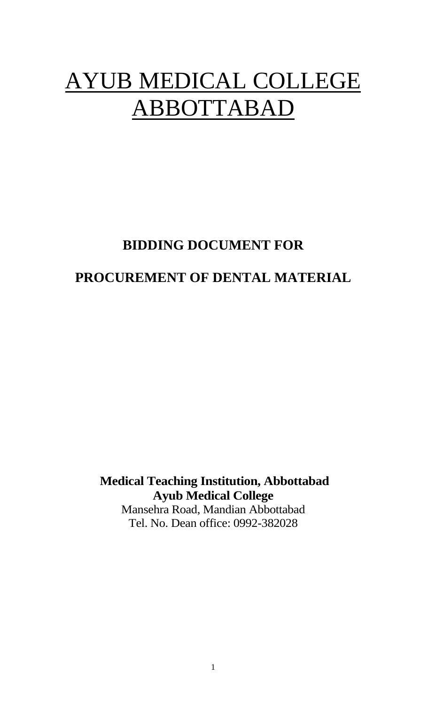# AYUB MEDICAL COLLEGE ABBOTTABAD

# **BIDDING DOCUMENT FOR**

# **PROCUREMENT OF DENTAL MATERIAL**

**Medical Teaching Institution, Abbottabad Ayub Medical College**

Mansehra Road, Mandian Abbottabad Tel. No. Dean office: 0992-382028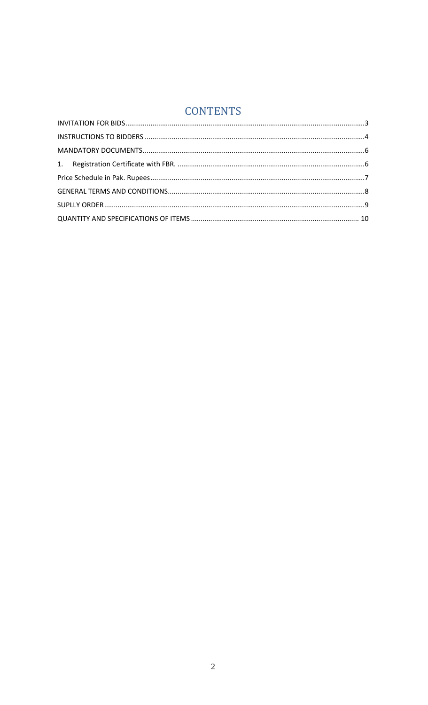## **CONTENTS**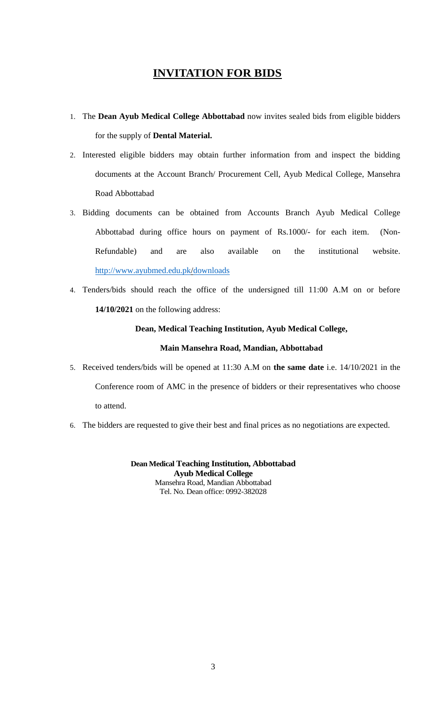#### **INVITATION FOR BIDS**

- <span id="page-2-0"></span>1. The **Dean Ayub Medical College Abbottabad** now invites sealed bids from eligible bidders for the supply of **Dental Material.**
- 2. Interested eligible bidders may obtain further information from and inspect the bidding documents at the Account Branch/ Procurement Cell, Ayub Medical College, Mansehra Road Abbottabad
- 3. Bidding documents can be obtained from Accounts Branch Ayub Medical College Abbottabad during office hours on payment of Rs.1000/- for each item. (Non-Refundable) and are also available on the institutional website. <http://www.ayubmed.edu.pk/>downloads
- 4. Tenders/bids should reach the office of the undersigned till 11:00 A.M on or before **14/10/2021** on the following address:

#### **Dean, Medical Teaching Institution, Ayub Medical College,**

#### **Main Mansehra Road, Mandian, Abbottabad**

- 5. Received tenders/bids will be opened at 11:30 A.M on **the same date** i.e. 14/10/2021 in the Conference room of AMC in the presence of bidders or their representatives who choose to attend.
- 6. The bidders are requested to give their best and final prices as no negotiations are expected.

**Dean Medical Teaching Institution, Abbottabad Ayub Medical College** Mansehra Road, Mandian Abbottabad Tel. No. Dean office: 0992-382028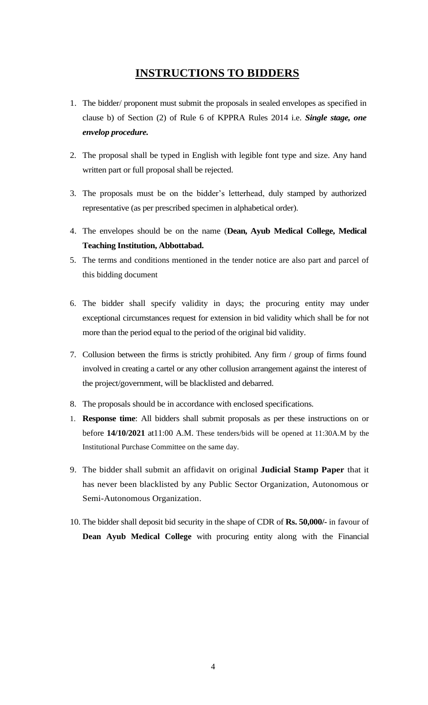### **INSTRUCTIONS TO BIDDERS**

- <span id="page-3-0"></span>1. The bidder/ proponent must submit the proposals in sealed envelopes as specified in clause b) of Section (2) of Rule 6 of KPPRA Rules 2014 i.e. *Single stage, one envelop procedure.*
- 2. The proposal shall be typed in English with legible font type and size. Any hand written part or full proposal shall be rejected.
- 3. The proposals must be on the bidder's letterhead, duly stamped by authorized representative (as per prescribed specimen in alphabetical order).
- 4. The envelopes should be on the name (**Dean, Ayub Medical College, Medical Teaching Institution, Abbottabad.**
- 5. The terms and conditions mentioned in the tender notice are also part and parcel of this bidding document
- 6. The bidder shall specify validity in days; the procuring entity may under exceptional circumstances request for extension in bid validity which shall be for not more than the period equal to the period of the original bid validity.
- 7. Collusion between the firms is strictly prohibited. Any firm / group of firms found involved in creating a cartel or any other collusion arrangement against the interest of the project/government, will be blacklisted and debarred.
- 8. The proposals should be in accordance with enclosed specifications.
- 1. **Response time**: All bidders shall submit proposals as per these instructions on or before **14/10/2021** at11:00 A.M. These tenders/bids will be opened at 11:30A.M by the Institutional Purchase Committee on the same day.
- 9. The bidder shall submit an affidavit on original **Judicial Stamp Paper** that it has never been blacklisted by any Public Sector Organization, Autonomous or Semi-Autonomous Organization.
- 10. The bidder shall deposit bid security in the shape of CDR of **Rs. 50,000/-** in favour of **Dean Ayub Medical College** with procuring entity along with the Financial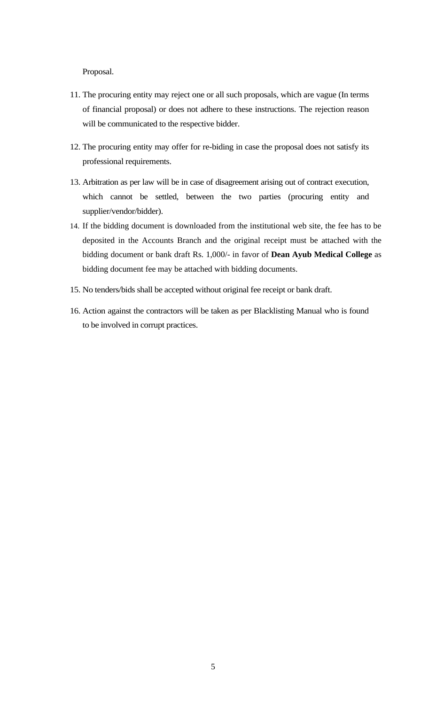Proposal.

- 11. The procuring entity may reject one or all such proposals, which are vague (In terms of financial proposal) or does not adhere to these instructions. The rejection reason will be communicated to the respective bidder.
- 12. The procuring entity may offer for re-biding in case the proposal does not satisfy its professional requirements.
- 13. Arbitration as per law will be in case of disagreement arising out of contract execution, which cannot be settled, between the two parties (procuring entity and supplier/vendor/bidder).
- 14. If the bidding document is downloaded from the institutional web site, the fee has to be deposited in the Accounts Branch and the original receipt must be attached with the bidding document or bank draft Rs. 1,000/- in favor of **Dean Ayub Medical College** as bidding document fee may be attached with bidding documents.
- 15. No tenders/bids shall be accepted without original fee receipt or bank draft.
- 16. Action against the contractors will be taken as per Blacklisting Manual who is found to be involved in corrupt practices.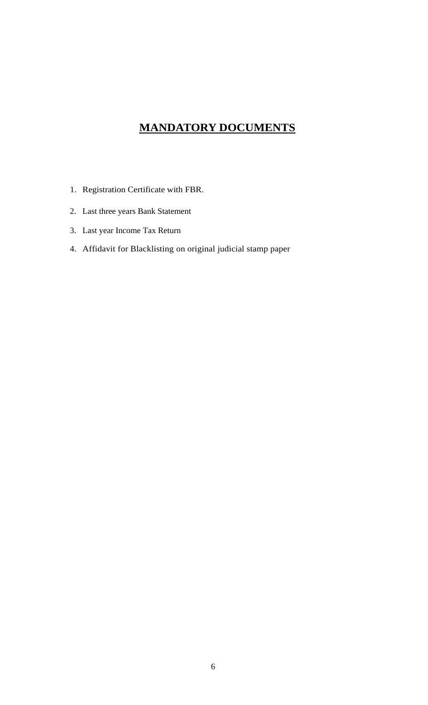## **MANDATORY DOCUMENTS**

- <span id="page-5-1"></span><span id="page-5-0"></span>1. Registration Certificate with FBR.
- 2. Last three years Bank Statement
- 3. Last year Income Tax Return
- 4. Affidavit for Blacklisting on original judicial stamp paper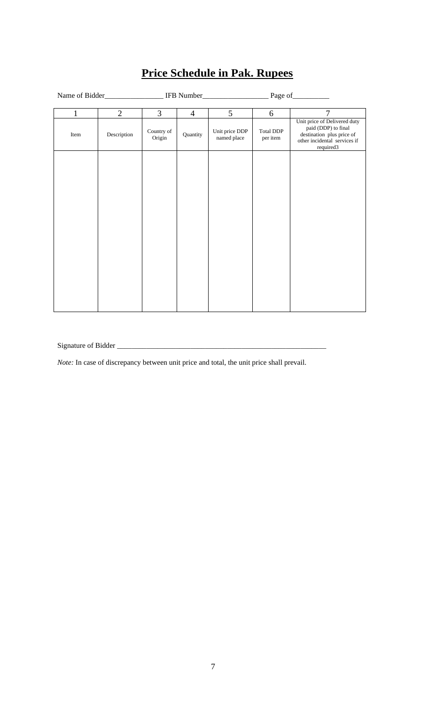<span id="page-6-0"></span>

|              | Name of Bidder |                      |                |                               |                       |                                                                                                                               |
|--------------|----------------|----------------------|----------------|-------------------------------|-----------------------|-------------------------------------------------------------------------------------------------------------------------------|
| $\mathbf{1}$ | $\overline{2}$ | $\overline{3}$       | $\overline{4}$ | 5 <sup>5</sup>                | 6                     | $\overline{7}$                                                                                                                |
| Item         | Description    | Country of<br>Origin | Quantity       | Unit price DDP<br>named place | Total DDP<br>per item | Unit price of Delivered duty<br>paid (DDP) to final<br>destination plus price of<br>other incidental services if<br>required3 |
|              |                |                      |                |                               |                       |                                                                                                                               |
|              |                |                      |                |                               |                       |                                                                                                                               |

## **Price Schedule in Pak. Rupees**

Signature of Bidder \_\_\_\_\_\_\_\_\_\_\_\_\_\_\_\_\_\_\_\_\_\_\_\_\_\_\_\_\_\_\_\_\_\_\_\_\_\_\_\_\_\_\_\_\_\_\_\_\_\_\_\_\_\_\_\_\_

*Note:* In case of discrepancy between unit price and total, the unit price shall prevail.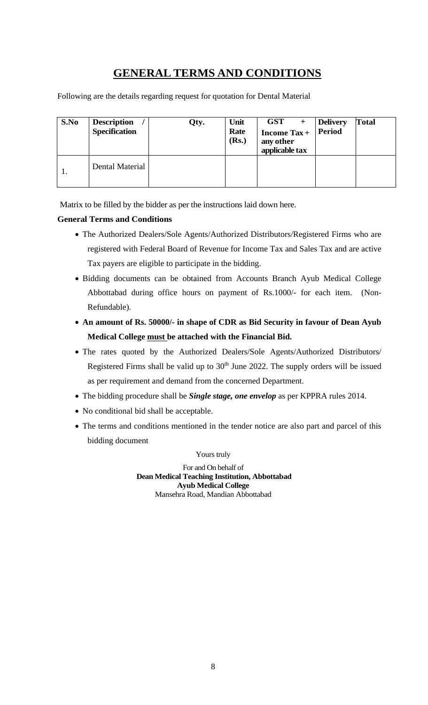## **GENERAL TERMS AND CONDITIONS**

<span id="page-7-0"></span>Following are the details regarding request for quotation for Dental Material

| S.No | <b>Description</b><br><b>Specification</b> | Qty. | Unit<br>Rate<br>(Rs.) | <b>GST</b><br><b>Income Tax+</b><br>any other<br>applicable tax | <b>Delivery</b><br><b>Period</b> | Total |
|------|--------------------------------------------|------|-----------------------|-----------------------------------------------------------------|----------------------------------|-------|
| 1.   | Dental Material                            |      |                       |                                                                 |                                  |       |

Matrix to be filled by the bidder as per the instructions laid down here.

#### **General Terms and Conditions**

- The Authorized Dealers/Sole Agents/Authorized Distributors/Registered Firms who are registered with Federal Board of Revenue for Income Tax and Sales Tax and are active Tax payers are eligible to participate in the bidding.
- Bidding documents can be obtained from Accounts Branch Ayub Medical College Abbottabad during office hours on payment of Rs.1000/- for each item. (Non-Refundable).
- **An amount of Rs. 50000/- in shape of CDR as Bid Security in favour of Dean Ayub Medical College must be attached with the Financial Bid.**
- The rates quoted by the Authorized Dealers/Sole Agents/Authorized Distributors/ Registered Firms shall be valid up to  $30<sup>th</sup>$  June 2022. The supply orders will be issued as per requirement and demand from the concerned Department.
- The bidding procedure shall be *Single stage, one envelop* as per KPPRA rules 2014.
- No conditional bid shall be acceptable.
- The terms and conditions mentioned in the tender notice are also part and parcel of this bidding document

#### Yours truly

For and On behalf of **Dean Medical Teaching Institution, Abbottabad Ayub Medical College** Mansehra Road, Mandian Abbottabad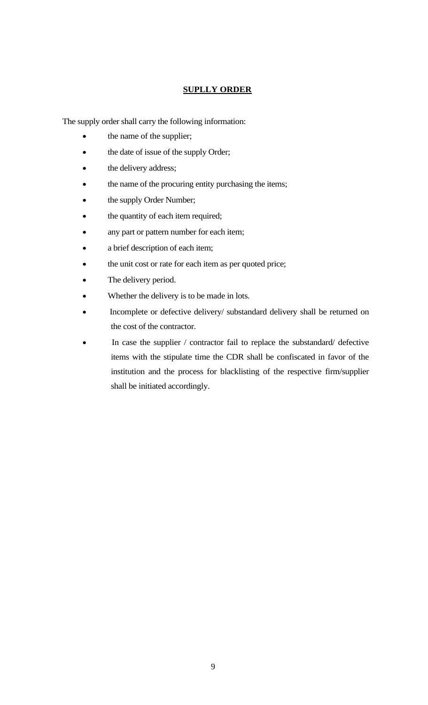#### **SUPLLY ORDER**

<span id="page-8-0"></span>The supply order shall carry the following information:

- the name of the supplier;
- the date of issue of the supply Order;
- the delivery address;
- the name of the procuring entity purchasing the items;
- the supply Order Number;
- the quantity of each item required;
- any part or pattern number for each item;
- a brief description of each item;
- the unit cost or rate for each item as per quoted price;
- The delivery period.
- Whether the delivery is to be made in lots.
- Incomplete or defective delivery/ substandard delivery shall be returned on the cost of the contractor.
- In case the supplier / contractor fail to replace the substandard/ defective items with the stipulate time the CDR shall be confiscated in favor of the institution and the process for blacklisting of the respective firm/supplier shall be initiated accordingly.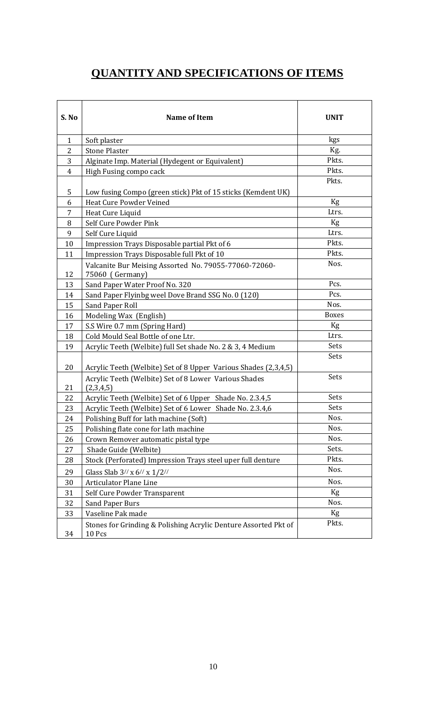## **QUANTITY AND SPECIFICATIONS OF ITEMS**

<span id="page-9-0"></span>

| S. No          | <b>Name of Item</b>                                                       | <b>UNIT</b>  |
|----------------|---------------------------------------------------------------------------|--------------|
| $\mathbf{1}$   | Soft plaster                                                              | kgs          |
| $\overline{2}$ | <b>Stone Plaster</b>                                                      | Kg.          |
| 3              | Alginate Imp. Material (Hydegent or Equivalent)                           | Pkts.        |
| $\overline{4}$ | High Fusing compo cack                                                    | Pkts.        |
| 5              | Low fusing Compo (green stick) Pkt of 15 sticks (Kemdent UK)              | Pkts.        |
| 6              | Heat Cure Powder Veined                                                   | Kg           |
| 7              | Heat Cure Liquid                                                          | Ltrs.        |
| 8              | Self Cure Powder Pink                                                     | Kg           |
| 9              | Self Cure Liquid                                                          | Ltrs.        |
| 10             | Impression Trays Disposable partial Pkt of 6                              | Pkts.        |
| 11             | Impression Trays Disposable full Pkt of 10                                | Pkts.        |
| 12             | Valcanite Bur Meising Assorted No. 79055-77060-72060-<br>75060 (Germany)  | Nos.         |
| 13             | Sand Paper Water Proof No. 320                                            | Pcs.         |
| 14             | Sand Paper Flyinbg weel Dove Brand SSG No. 0 (120)                        | Pcs.         |
| 15             | Sand Paper Roll                                                           | Nos.         |
| 16             | Modeling Wax (English)                                                    | <b>Boxes</b> |
| 17             | S.S Wire 0.7 mm (Spring Hard)                                             | Kg           |
| 18             | Cold Mould Seal Bottle of one Ltr.                                        | Ltrs.        |
| 19             | Acrylic Teeth (Welbite) full Set shade No. 2 & 3, 4 Medium                | Sets         |
| 20             | Acrylic Teeth (Welbite) Set of 8 Upper Various Shades (2,3,4,5)           | Sets         |
| 21             | Acrylic Teeth (Welbite) Set of 8 Lower Various Shades<br>(2,3,4,5)        | Sets         |
| 22             | Acrylic Teeth (Welbite) Set of 6 Upper Shade No. 2.3.4,5                  | Sets         |
| 23             | Acrylic Teeth (Welbite) Set of 6 Lower Shade No. 2.3.4,6                  | Sets         |
| 24             | Polishing Buff for lath machine (Soft)                                    | Nos.         |
| 25             | Polishing flate cone for lath machine                                     | Nos.         |
| 26             | Crown Remover automatic pistal type                                       | Nos.         |
| 27             | Shade Guide (Welbite)                                                     | Sets.        |
| 28             | Stock (Perforated) Impression Trays steel uper full denture               | Pkts.        |
| 29             | Glass Slab $3$ // x $6$ // x $1/2$ //                                     | Nos.         |
| 30             | <b>Articulator Plane Line</b>                                             | Nos.         |
| 31             | Self Cure Powder Transparent                                              | Kg           |
| 32             | <b>Sand Paper Burs</b>                                                    | Nos.         |
| 33             | Vaseline Pak made                                                         | Kg           |
| 34             | Stones for Grinding & Polishing Acrylic Denture Assorted Pkt of<br>10 Pcs | Pkts.        |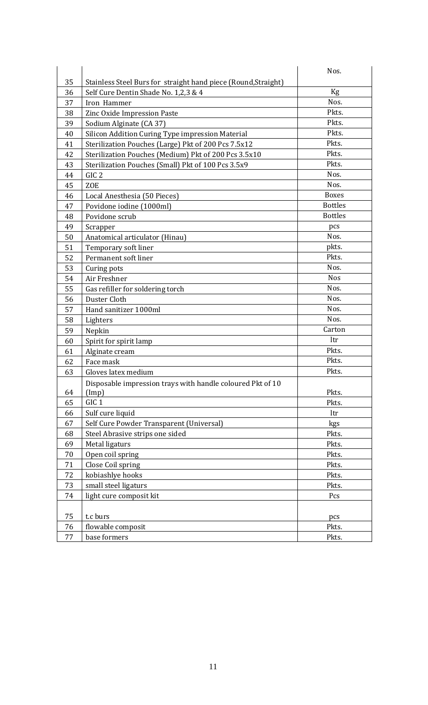|    |                                                                | Nos.           |
|----|----------------------------------------------------------------|----------------|
| 35 | Stainless Steel Burs for straight hand piece (Round, Straight) |                |
| 36 | Self Cure Dentin Shade No. 1,2,3 & 4                           | Kg             |
| 37 | Iron Hammer                                                    | Nos.           |
| 38 | Zinc Oxide Impression Paste                                    | Pkts.          |
| 39 | Sodium Alginate (CA 37)                                        | Pkts.          |
| 40 | Silicon Addition Curing Type impression Material               | Pkts.          |
| 41 | Sterilization Pouches (Large) Pkt of 200 Pcs 7.5x12            | Pkts.          |
| 42 | Sterilization Pouches (Medium) Pkt of 200 Pcs 3.5x10           | Pkts.          |
| 43 | Sterilization Pouches (Small) Pkt of 100 Pcs 3.5x9             | Pkts.          |
| 44 | GIC <sub>2</sub>                                               | Nos.           |
| 45 | <b>ZOE</b>                                                     | Nos.           |
| 46 | Local Anesthesia (50 Pieces)                                   | <b>Boxes</b>   |
| 47 | Povidone iodine (1000ml)                                       | <b>Bottles</b> |
| 48 | Povidone scrub                                                 | <b>Bottles</b> |
| 49 | Scrapper                                                       | pcs            |
| 50 | Anatomical articulator (Hinau)                                 | Nos.           |
| 51 | Temporary soft liner                                           | pkts.          |
| 52 | Permanent soft liner                                           | Pkts.          |
| 53 | Curing pots                                                    | Nos.           |
| 54 | Air Freshner                                                   | <b>Nos</b>     |
| 55 | Gas refiller for soldering torch                               | Nos.           |
| 56 | Duster Cloth                                                   | Nos.           |
| 57 | Hand sanitizer 1000ml                                          | Nos.           |
| 58 | Lighters                                                       | Nos.           |
| 59 | Nepkin                                                         | Carton         |
| 60 | Spirit for spirit lamp                                         | ltr            |
| 61 | Alginate cream                                                 | Pkts.          |
| 62 | Face mask                                                      | Pkts.          |
| 63 | Gloves latex medium                                            | Pkts.          |
|    | Disposable impression trays with handle coloured Pkt of 10     |                |
| 64 | (Imp)                                                          | Pkts.          |
| 65 | GIC <sub>1</sub>                                               | Pkts.          |
| 66 | Sulf cure liquid                                               | ltr            |
| 67 | Self Cure Powder Transparent (Universal)                       | kgs            |
| 68 | Steel Abrasive strips one sided                                | Pkts.          |
| 69 | Metal ligaturs                                                 | Pkts.          |
| 70 | Open coil spring                                               | Pkts.          |
| 71 | Close Coil spring                                              | Pkts.          |
| 72 | kobiashlye hooks                                               | Pkts.          |
| 73 | small steel ligaturs                                           | Pkts.          |
| 74 | light cure composit kit                                        | Pcs            |
|    |                                                                |                |
| 75 | t.c burs                                                       | pcs            |
| 76 | flowable composit                                              | Pkts.          |
| 77 | base formers                                                   | Pkts.          |